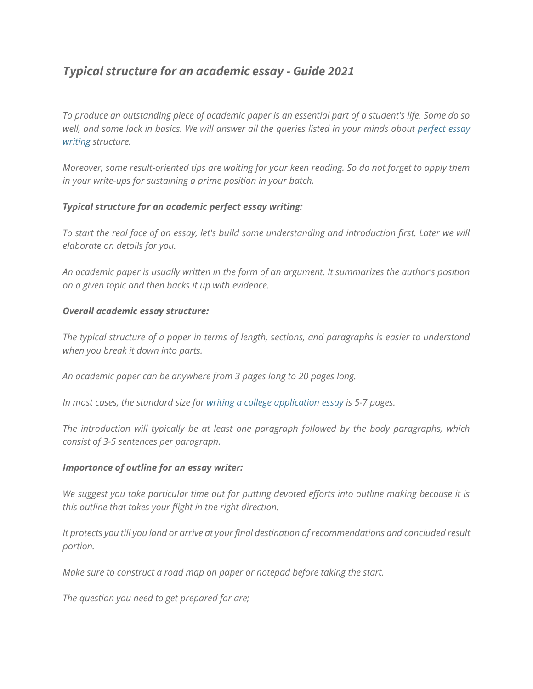# *Typical structure for an academic essay - Guide 2021*

*To produce an outstanding piece of academic paper is an essential part of a student's life. Some do so well, and some lack in basics. We will answer all the queries listed in your minds about [perfect](https://perfectessaywriting.com/) essay [writing](https://perfectessaywriting.com/) structure.*

*Moreover, some result-oriented tips are waiting for your keen reading. So do not forget to apply them in your write-ups for sustaining a prime position in your batch.*

## *Typical structure for an academic perfect essay writing:*

*To start the real face of an essay, let's build some understanding and introduction first. Later we will elaborate on details for you.*

*An academic paper is usually written in the form of an argument. It summarizes the author's position on a given topic and then backs it up with evidence.*

### *Overall academic essay structure:*

*The typical structure of a paper in terms of length, sections, and paragraphs is easier to understand when you break it down into parts.*

*An academic paper can be anywhere from 3 pages long to 20 pages long.*

*In most cases, the standard size for writing a college [application](https://perfectessaywriting.com/blog/writing-a-college-application-essay) essay is 5-7 pages.*

*The introduction will typically be at least one paragraph followed by the body paragraphs, which consist of 3-5 sentences per paragraph.*

### *Importance of outline for an essay writer:*

*We suggest you take particular time out for putting devoted efforts into outline making because it is this outline that takes your flight in the right direction.*

*It protects you till you land or arrive at your final destination of recommendations and concluded result portion.*

*Make sure to construct a road map on paper or notepad before taking the start.*

*The question you need to get prepared for are;*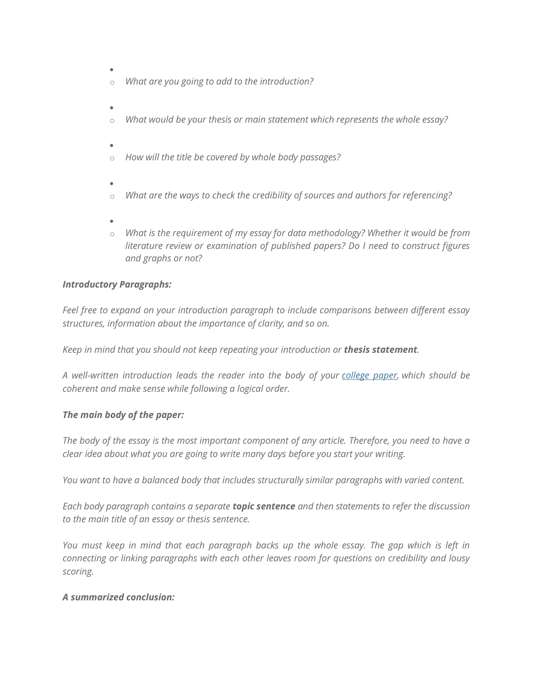- •
- o *What are you going to add to the introduction?*
- o *What would be your thesis or main statement which represents the whole essay?*
- o *How will the title be covered by whole body passages?*
- o *What are the ways to check the credibility of sources and authors for referencing?*
- o *What is the requirement of my essay for data methodology? Whether it would be from literature review or examination of published papers? Do I need to construct figures and graphs or not?*

### *Introductory Paragraphs:*

*Feel free to expand on your introduction paragraph to include comparisons between different essay structures, information about the importance of clarity, and so on.*

*Keep in mind that you should not keep repeating your introduction or thesis statement.*

*A well-written introduction leads the reader into the body of your [college](https://perfectessaywriting.com/college-paper) paper, which should be coherent and make sense while following a logical order.*

### *The main body of the paper:*

*The body of the essay is the most important component of any article. Therefore, you need to have a clear idea about what you are going to write many days before you start your writing.*

*You want to have a balanced body that includes structurally similar paragraphs with varied content.*

*Each body paragraph contains a separate topic sentence and then statements to refer the discussion to the main title of an essay or thesis sentence.*

*You must keep in mind that each paragraph backs up the whole essay. The gap which is left in connecting or linking paragraphs with each other leaves room for questions on credibility and lousy scoring.*

### *A summarized conclusion:*